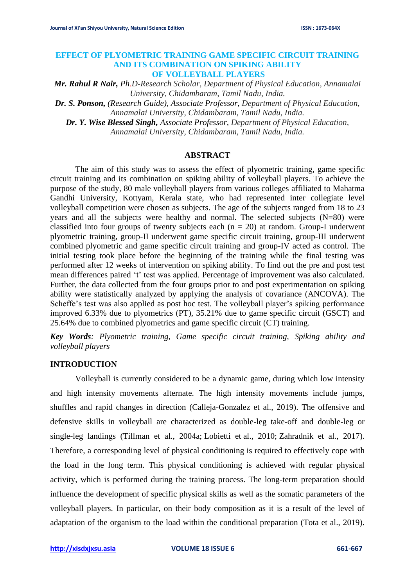### **EFFECT OF PLYOMETRIC TRAINING GAME SPECIFIC CIRCUIT TRAINING AND ITS COMBINATION ON SPIKING ABILITY OF VOLLEYBALL PLAYERS**

*Mr. Rahul R Nair, Ph.D-Research Scholar, Department of Physical Education, Annamalai University, Chidambaram, Tamil Nadu, India.*

*Dr. S. Ponson, (Research Guide), Associate Professor, Department of Physical Education, Annamalai University, Chidambaram, Tamil Nadu, India.*

*Dr. Y. Wise Blessed Singh, Associate Professor, Department of Physical Education, Annamalai University, Chidambaram, Tamil Nadu, India.*

### **ABSTRACT**

The aim of this study was to assess the effect of plyometric training, game specific circuit training and its combination on spiking ability of volleyball players. To achieve the purpose of the study, 80 male volleyball players from various colleges affiliated to Mahatma Gandhi University, Kottyam, Kerala state, who had represented inter collegiate level volleyball competition were chosen as subjects. The age of the subjects ranged from 18 to 23 years and all the subjects were healthy and normal. The selected subjects (N=80) were classified into four groups of twenty subjects each  $(n = 20)$  at random. Group-I underwent plyometric training, group-II underwent game specific circuit training, group-III underwent combined plyometric and game specific circuit training and group-IV acted as control. The initial testing took place before the beginning of the training while the final testing was performed after 12 weeks of intervention on spiking ability. To find out the pre and post test mean differences paired 't' test was applied. Percentage of improvement was also calculated. Further, the data collected from the four groups prior to and post experimentation on spiking ability were statistically analyzed by applying the analysis of covariance (ANCOVA). The Scheffe's test was also applied as post hoc test. The volleyball player's spiking performance improved 6.33% due to plyometrics (PT), 35.21% due to game specific circuit (GSCT) and 25.64% due to combined plyometrics and game specific circuit (CT) training.

*Key Words: Plyometric training, Game specific circuit training, Spiking ability and volleyball players*

# **INTRODUCTION**

Volleyball is currently considered to be a dynamic game, during which low intensity and high intensity movements alternate. The high intensity movements include jumps, shuffles and rapid changes in direction (Calleja-Gonzalez et al., 2019). The offensive and defensive skills in volleyball are characterized as double-leg take-off and double-leg or single-leg landings (Tillman et al., 2004a; Lobietti et al., 2010; Zahradnik et al., 2017). Therefore, a corresponding level of physical conditioning is required to effectively cope with the load in the long term. This physical conditioning is achieved with regular physical activity, which is performed during the training process. The long-term preparation should influence the development of specific physical skills as well as the somatic parameters of the volleyball players. In particular, on their body composition as it is a result of the level of adaptation of the organism to the load within the conditional preparation (Tota et al., 2019).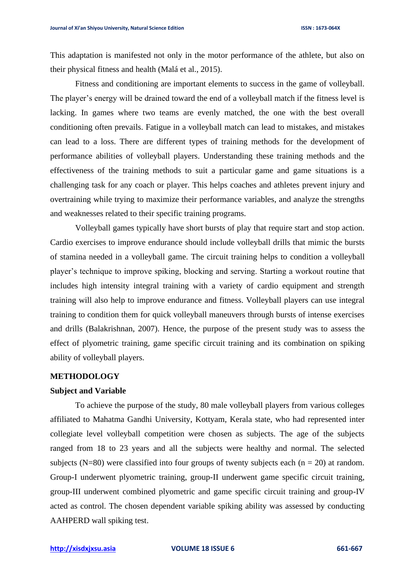This adaptation is manifested not only in the motor performance of the athlete, but also on their physical fitness and health (Malá et al., 2015).

Fitness and conditioning are important elements to success in the game of volleyball. The player's energy will be drained toward the end of a volleyball match if the fitness level is lacking. In games where two teams are evenly matched, the one with the best overall conditioning often prevails. Fatigue in a volleyball match can lead to mistakes, and mistakes can lead to a loss. There are different types of training methods for the development of performance abilities of volleyball players. Understanding these training methods and the effectiveness of the training methods to suit a particular game and game situations is a challenging task for any coach or player. This helps coaches and athletes prevent injury and overtraining while trying to maximize their performance variables, and analyze the strengths and weaknesses related to their specific training programs.

Volleyball games typically have short bursts of play that require start and stop action. Cardio exercises to improve endurance should include volleyball drills that mimic the bursts of stamina needed in a volleyball game. The circuit training helps to condition a volleyball player's technique to improve spiking, blocking and serving. Starting a workout routine that includes high intensity integral training with a variety of cardio equipment and strength training will also help to improve endurance and fitness. Volleyball players can use integral training to condition them for quick volleyball maneuvers through bursts of intense exercises and drills (Balakrishnan, 2007). Hence, the purpose of the present study was to assess the effect of plyometric training, game specific circuit training and its combination on spiking ability of volleyball players.

### **METHODOLOGY**

#### **Subject and Variable**

To achieve the purpose of the study, 80 male volleyball players from various colleges affiliated to Mahatma Gandhi University, Kottyam, Kerala state, who had represented inter collegiate level volleyball competition were chosen as subjects. The age of the subjects ranged from 18 to 23 years and all the subjects were healthy and normal. The selected subjects (N=80) were classified into four groups of twenty subjects each ( $n = 20$ ) at random. Group-I underwent plyometric training, group-II underwent game specific circuit training, group-III underwent combined plyometric and game specific circuit training and group-IV acted as control. The chosen dependent variable spiking ability was assessed by conducting AAHPERD wall spiking test.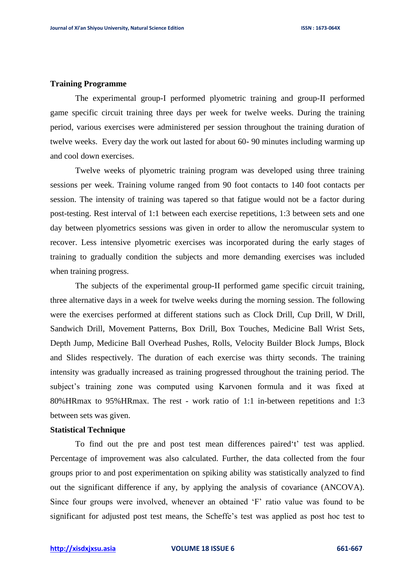### **Training Programme**

The experimental group-I performed plyometric training and group-II performed game specific circuit training three days per week for twelve weeks. During the training period, various exercises were administered per session throughout the training duration of twelve weeks. Every day the work out lasted for about 60- 90 minutes including warming up and cool down exercises.

Twelve weeks of plyometric training program was developed using three training sessions per week. Training volume ranged from 90 foot contacts to 140 foot contacts per session. The intensity of training was tapered so that fatigue would not be a factor during post-testing. Rest interval of 1:1 between each exercise repetitions, 1:3 between sets and one day between plyometrics sessions was given in order to allow the neromuscular system to recover. Less intensive plyometric exercises was incorporated during the early stages of training to gradually condition the subjects and more demanding exercises was included when training progress.

The subjects of the experimental group-II performed game specific circuit training, three alternative days in a week for twelve weeks during the morning session. The following were the exercises performed at different stations such as Clock Drill, Cup Drill, W Drill, Sandwich Drill, Movement Patterns, Box Drill, Box Touches, Medicine Ball Wrist Sets, Depth Jump, Medicine Ball Overhead Pushes, Rolls, Velocity Builder Block Jumps, Block and Slides respectively. The duration of each exercise was thirty seconds. The training intensity was gradually increased as training progressed throughout the training period. The subject's training zone was computed using Karvonen formula and it was fixed at 80%HRmax to 95%HRmax. The rest - work ratio of 1:1 in-between repetitions and 1:3 between sets was given.

### **Statistical Technique**

To find out the pre and post test mean differences paired't' test was applied. Percentage of improvement was also calculated. Further, the data collected from the four groups prior to and post experimentation on spiking ability was statistically analyzed to find out the significant difference if any, by applying the analysis of covariance (ANCOVA). Since four groups were involved, whenever an obtained 'F' ratio value was found to be significant for adjusted post test means, the Scheffe's test was applied as post hoc test to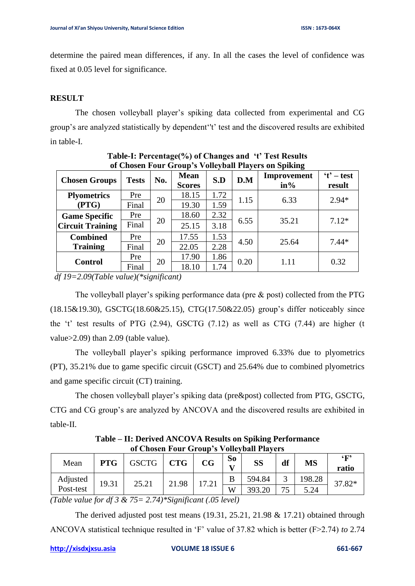determine the paired mean differences, if any. In all the cases the level of confidence was fixed at 0.05 level for significance.

# **RESULT**

The chosen volleyball player's spiking data collected from experimental and CG group's are analyzed statistically by dependent''t' test and the discovered results are exhibited in table-I.

| <u>UL CHUSCH FUUL OTUUP 5 VUHCYDAH FIAYCES UN DPIKING</u> |              |                      |                              |      |       |                       |                        |
|-----------------------------------------------------------|--------------|----------------------|------------------------------|------|-------|-----------------------|------------------------|
| <b>Chosen Groups</b>                                      | <b>Tests</b> | No.                  | <b>Mean</b><br><b>Scores</b> | S.D  | D.M   | Improvement<br>$in\%$ | $'t'$ – test<br>result |
| <b>Plyometrics</b>                                        | Pre          | 20                   | 18.15                        | 1.72 | 1.15  | 6.33                  | $2.94*$                |
| (PTG)                                                     | Final        |                      | 19.30                        | 1.59 |       |                       |                        |
| <b>Game Specific</b><br><b>Circuit Training</b>           | Pre          | 20                   | 18.60                        | 2.32 | 6.55  | 35.21                 | $7.12*$                |
|                                                           | Final        |                      | 25.15                        | 3.18 |       |                       |                        |
| <b>Combined</b>                                           | Pre          | 17.55<br>20<br>22.05 | 1.53                         | 4.50 | 25.64 | $7.44*$               |                        |
| <b>Training</b>                                           | Final        |                      |                              | 2.28 |       |                       |                        |
| <b>Control</b>                                            | Pre          | 20                   | 17.90                        | 1.86 | 0.20  | 1.11                  | 0.32                   |
|                                                           | Final        |                      | 18.10                        | 1.74 |       |                       |                        |

**Table-I: Percentage(%) of Changes and 't' Test Results of Chosen Four Group's Volleyball Players on Spiking**

 *df 19=2.09(Table value)(\*significant)*

The volleyball player's spiking performance data (pre & post) collected from the PTG (18.15&19.30), GSCTG(18.60&25.15), CTG(17.50&22.05) group's differ noticeably since the 't' test results of PTG (2.94), GSCTG (7.12) as well as CTG (7.44) are higher (t value>2.09) than 2.09 (table value).

The volleyball player's spiking performance improved 6.33% due to plyometrics (PT), 35.21% due to game specific circuit (GSCT) and 25.64% due to combined plyometrics and game specific circuit (CT) training.

The chosen volleyball player's spiking data (pre&post) collected from PTG, GSCTG, CTG and CG group's are analyzed by ANCOVA and the discovered results are exhibited in table-II.

**Table – II: Derived ANCOVA Results on Spiking Performance of Chosen Four Group's Volleyball Players** 

| Mean                                                                                                                                                  | PTG   | <b>GSCTG</b> | <b>CTG</b> | $\mathbf{CG}$ | So<br>$\mathbf{v}$ | SS     | df | <b>MS</b> | $\epsilon_{\mathbf{F}}$<br>ratio |
|-------------------------------------------------------------------------------------------------------------------------------------------------------|-------|--------------|------------|---------------|--------------------|--------|----|-----------|----------------------------------|
| Adjusted                                                                                                                                              | 19.31 | 25.21        | 21.98      | 17.21         |                    | 594.84 |    | 198.28    | 37.82*                           |
| Post-test                                                                                                                                             |       |              |            |               | W                  | 303.   | 75 | 5.24      |                                  |
| $\cdot$ $\sim$<br>$\alpha$ $\sigma$ $\beta$ $\alpha$ $\gamma$<br>$\sqrt{1}$ $\sqrt{1}$<br>$10.2.0$ $-7.7$<br>$\sqrt{2}$<br>$\epsilon$<br>$\mathbf{I}$ |       |              |            |               |                    |        |    |           |                                  |

*(Table value for df 3 & 75= 2.74)\*Significant (.05 level)*

The derived adjusted post test means (19.31, 25.21, 21.98 & 17.21) obtained through ANCOVA statistical technique resulted in 'F' value of 37.82 which is better (F>2.74) *to* 2.74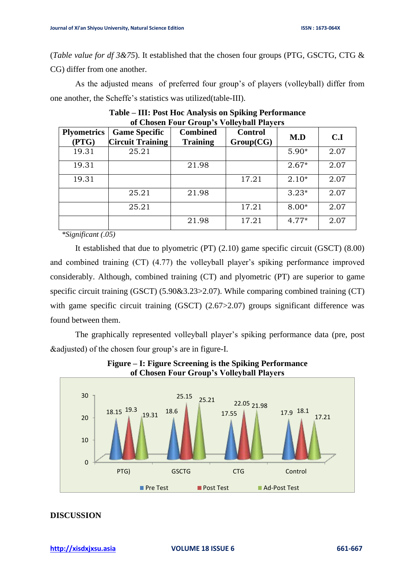(*Table value for df 3&75*). It established that the chosen four groups (PTG, GSCTG, CTG & CG) differ from one another.

As the adjusted means of preferred four group's of players (volleyball) differ from one another, the Scheffe's statistics was utilized(table-III).

| of Chosch I out Group's voncyban I layers |                                                 |                                    |                             |         |      |  |  |  |
|-------------------------------------------|-------------------------------------------------|------------------------------------|-----------------------------|---------|------|--|--|--|
| <b>Plyometrics</b><br>(PTG)               | <b>Game Specific</b><br><b>Circuit Training</b> | <b>Combined</b><br><b>Training</b> | <b>Control</b><br>Group(CG) | M.D     | C.I  |  |  |  |
| 19.31                                     | 25.21                                           |                                    |                             | $5.90*$ | 2.07 |  |  |  |
| 19.31                                     |                                                 | 21.98                              |                             | $2.67*$ | 2.07 |  |  |  |
| 19.31                                     |                                                 |                                    | 17.21                       | $2.10*$ | 2.07 |  |  |  |
|                                           | 25.21                                           | 21.98                              |                             | $3.23*$ | 2.07 |  |  |  |
|                                           | 25.21                                           |                                    | 17.21                       | $8.00*$ | 2.07 |  |  |  |
|                                           |                                                 | 21.98                              | 17.21                       | $4.77*$ | 2.07 |  |  |  |

**Table – III: Post Hoc Analysis on Spiking Performance of Chosen Four Group's Volleyball Players**

 *\*Significant (.05)*

It established that due to plyometric (PT) (2.10) game specific circuit (GSCT) (8.00) and combined training (CT) (4.77) the volleyball player's spiking performance improved considerably. Although, combined training (CT) and plyometric (PT) are superior to game specific circuit training (GSCT) (5.90&3.23>2.07). While comparing combined training (CT) with game specific circuit training (GSCT) (2.67>2.07) groups significant difference was found between them.

The graphically represented volleyball player's spiking performance data (pre, post &adjusted) of the chosen four group's are in figure-I.



**Figure – I: Figure Screening is the Spiking Performance of Chosen Four Group's Volleyball Players**

## **DISCUSSION**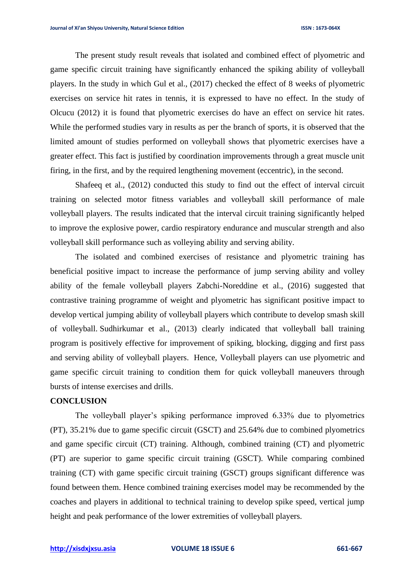The present study result reveals that isolated and combined effect of plyometric and game specific circuit training have significantly enhanced the spiking ability of volleyball players. In the study in which Gul et al., (2017) checked the effect of 8 weeks of plyometric exercises on service hit rates in tennis, it is expressed to have no effect. In the study of Olcucu (2012) it is found that plyometric exercises do have an effect on service hit rates. While the performed studies vary in results as per the branch of sports, it is observed that the limited amount of studies performed on volleyball shows that plyometric exercises have a greater effect. This fact is justified by coordination improvements through a great muscle unit firing, in the first, and by the required lengthening movement (eccentric), in the second.

Shafeeq et al., (2012) conducted this study to find out the effect of interval circuit training on selected motor fitness variables and volleyball skill performance of male volleyball players. The results indicated that the interval circuit training significantly helped to improve the explosive power, cardio respiratory endurance and muscular strength and also volleyball skill performance such as volleying ability and serving ability.

The isolated and combined exercises of resistance and plyometric training has beneficial positive impact to increase the performance of jump serving ability and volley ability of the female volleyball players Zabchi-Noreddine et al., (2016) suggested that contrastive training programme of weight and plyometric has significant positive impact to develop vertical jumping ability of volleyball players which contribute to develop smash skill of volleyball. Sudhirkumar et al., (2013) clearly indicated that volleyball ball training program is positively effective for improvement of spiking, blocking, digging and first pass and serving ability of volleyball players. Hence, Volleyball players can use plyometric and game specific circuit training to condition them for quick volleyball maneuvers through bursts of intense exercises and drills.

# **CONCLUSION**

The volleyball player's spiking performance improved 6.33% due to plyometrics (PT), 35.21% due to game specific circuit (GSCT) and 25.64% due to combined plyometrics and game specific circuit (CT) training. Although, combined training (CT) and plyometric (PT) are superior to game specific circuit training (GSCT). While comparing combined training (CT) with game specific circuit training (GSCT) groups significant difference was found between them. Hence combined training exercises model may be recommended by the coaches and players in additional to technical training to develop spike speed, vertical jump height and peak performance of the lower extremities of volleyball players.